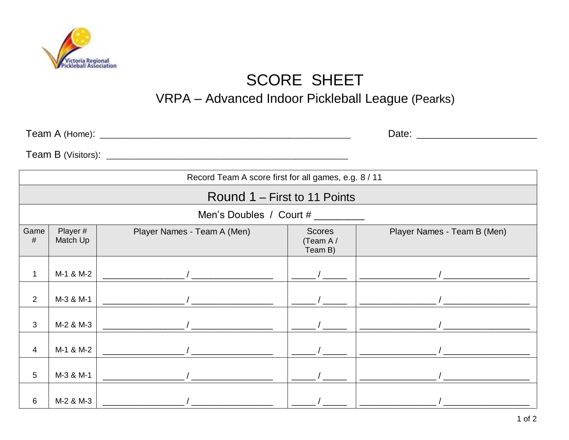

## **SCORE SHEET**

## VRPA - Advanced Indoor Pickleball League (Pearks)

| Record Team A score first for all games, e.g. 8 / 11 |                     |                             |                                      |                             |  |  |  |
|------------------------------------------------------|---------------------|-----------------------------|--------------------------------------|-----------------------------|--|--|--|
| Round 1 – First to 11 Points                         |                     |                             |                                      |                             |  |  |  |
| Men's Doubles / Court # ________                     |                     |                             |                                      |                             |  |  |  |
| Game<br>#                                            | Player#<br>Match Up | Player Names - Team A (Men) | <b>Scores</b><br>(Team A/<br>Team B) | Player Names - Team B (Men) |  |  |  |
| 1                                                    | M-1 & M-2           |                             |                                      |                             |  |  |  |
| 2                                                    | M-3 & M-1           |                             |                                      |                             |  |  |  |
| 3                                                    | M-2 & M-3           |                             |                                      |                             |  |  |  |
| 4                                                    | M-1 & M-2           |                             |                                      |                             |  |  |  |
| 5                                                    | M-3 & M-1           |                             |                                      |                             |  |  |  |
| 6                                                    | M-2 & M-3           |                             |                                      |                             |  |  |  |